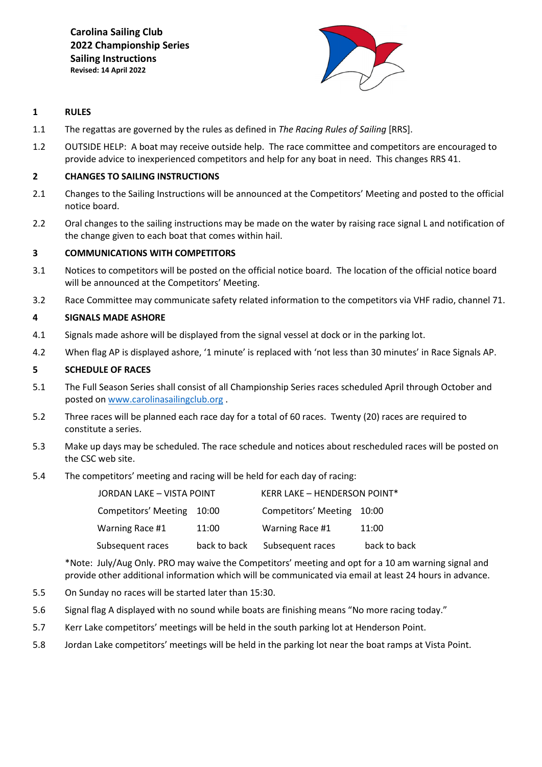**Carolina Sailing Club 2022 Championship Series Sailing Instructions Revised: 14 April 2022**



# **1 RULES**

- 1.1 The regattas are governed by the rules as defined in *The Racing Rules of Sailing* [RRS].
- 1.2 OUTSIDE HELP: A boat may receive outside help. The race committee and competitors are encouraged to provide advice to inexperienced competitors and help for any boat in need. This changes RRS 41.

## **2 CHANGES TO SAILING INSTRUCTIONS**

- 2.1 Changes to the Sailing Instructions will be announced at the Competitors' Meeting and posted to the official notice board.
- 2.2 Oral changes to the sailing instructions may be made on the water by raising race signal L and notification of the change given to each boat that comes within hail.

## **3 COMMUNICATIONS WITH COMPETITORS**

- 3.1 Notices to competitors will be posted on the official notice board. The location of the official notice board will be announced at the Competitors' Meeting.
- 3.2 Race Committee may communicate safety related information to the competitors via VHF radio, channel 71.

## **4 SIGNALS MADE ASHORE**

- 4.1 Signals made ashore will be displayed from the signal vessel at dock or in the parking lot.
- 4.2 When flag AP is displayed ashore, '1 minute' is replaced with 'not less than 30 minutes' in Race Signals AP.

## **5 SCHEDULE OF RACES**

- 5.1 The Full Season Series shall consist of all Championship Series races scheduled April through October and posted on [www.carolinasailingclub.org](http://www.carolinasailingclub.org/) .
- 5.2 Three races will be planned each race day for a total of 60 races. Twenty (20) races are required to constitute a series.
- 5.3 Make up days may be scheduled. The race schedule and notices about rescheduled races will be posted on the CSC web site.
- 5.4 The competitors' meeting and racing will be held for each day of racing:

| JORDAN LAKE - VISTA POINT  |              | <b>KERR LAKE - HENDERSON POINT*</b> |              |
|----------------------------|--------------|-------------------------------------|--------------|
| Competitors' Meeting 10:00 |              | Competitors' Meeting 10:00          |              |
| Warning Race #1            | 11:00        | Warning Race #1                     | 11:00        |
| Subsequent races           | back to back | Subsequent races                    | back to back |

\*Note: July/Aug Only. PRO may waive the Competitors' meeting and opt for a 10 am warning signal and provide other additional information which will be communicated via email at least 24 hours in advance.

- 5.5 On Sunday no races will be started later than 15:30.
- 5.6 Signal flag A displayed with no sound while boats are finishing means "No more racing today."
- 5.7 Kerr Lake competitors' meetings will be held in the south parking lot at Henderson Point.
- 5.8 Jordan Lake competitors' meetings will be held in the parking lot near the boat ramps at Vista Point.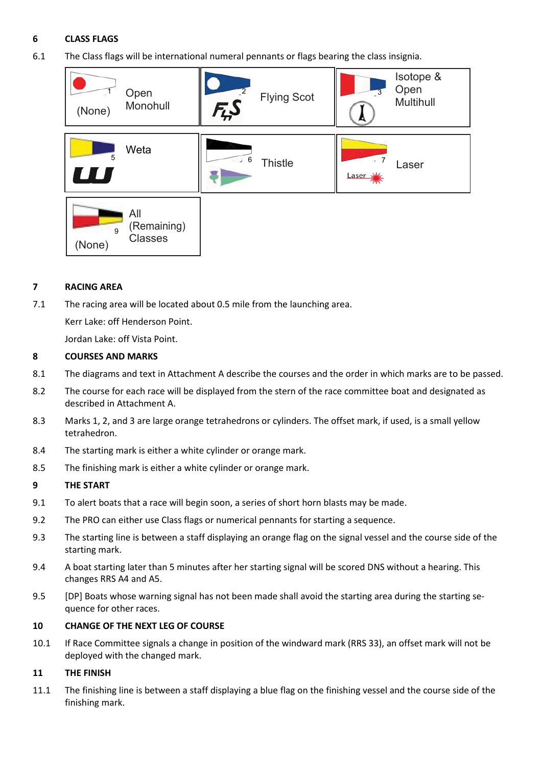# **6 CLASS FLAGS**

6.1 The Class flags will be international numeral pennants or flags bearing the class insignia.



# **7 RACING AREA**

7.1 The racing area will be located about 0.5 mile from the launching area.

Kerr Lake: off Henderson Point.

Jordan Lake: off Vista Point.

# **8 COURSES AND MARKS**

- 8.1 The diagrams and text in Attachment A describe the courses and the order in which marks are to be passed.
- 8.2 The course for each race will be displayed from the stern of the race committee boat and designated as described in Attachment A.
- 8.3 Marks 1, 2, and 3 are large orange tetrahedrons or cylinders. The offset mark, if used, is a small yellow tetrahedron.
- 8.4 The starting mark is either a white cylinder or orange mark.
- 8.5 The finishing mark is either a white cylinder or orange mark.

## **9 THE START**

- 9.1 To alert boats that a race will begin soon, a series of short horn blasts may be made.
- 9.2 The PRO can either use Class flags or numerical pennants for starting a sequence.
- 9.3 The starting line is between a staff displaying an orange flag on the signal vessel and the course side of the starting mark.
- 9.4 A boat starting later than 5 minutes after her starting signal will be scored DNS without a hearing. This changes RRS A4 and A5.
- 9.5 [DP] Boats whose warning signal has not been made shall avoid the starting area during the starting sequence for other races.

## **10 CHANGE OF THE NEXT LEG OF COURSE**

10.1 If Race Committee signals a change in position of the windward mark (RRS 33), an offset mark will not be deployed with the changed mark.

# **11 THE FINISH**

11.1 The finishing line is between a staff displaying a blue flag on the finishing vessel and the course side of the finishing mark.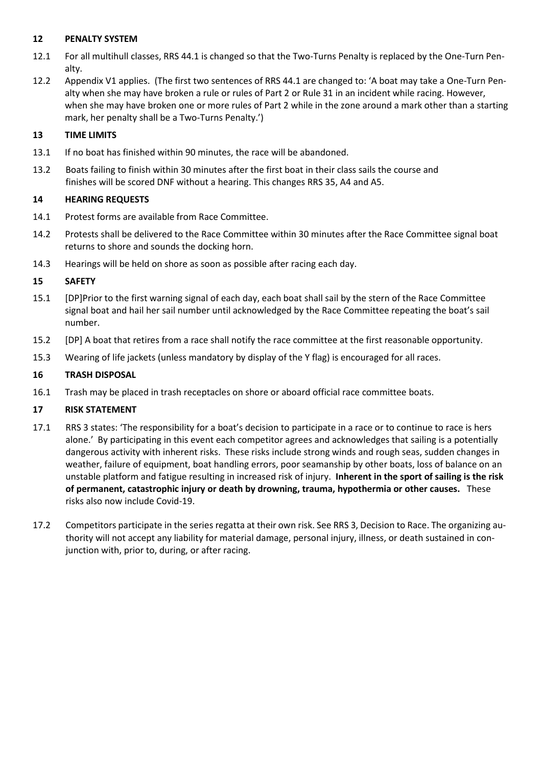# **12 PENALTY SYSTEM**

- 12.1 For all multihull classes, RRS 44.1 is changed so that the Two-Turns Penalty is replaced by the One-Turn Penalty.
- 12.2 Appendix V1 applies. (The first two sentences of RRS 44.1 are changed to: 'A boat may take a One-Turn Penalty when she may have broken a rule or rules of Part 2 or Rule 31 in an incident while racing. However, when she may have broken one or more rules of Part 2 while in the zone around a mark other than a starting mark, her penalty shall be a Two-Turns Penalty.')

# **13 TIME LIMITS**

- 13.1 If no boat has finished within 90 minutes, the race will be abandoned.
- 13.2 Boats failing to finish within 30 minutes after the first boat in their class sails the course and finishes will be scored DNF without a hearing. This changes RRS 35, A4 and A5.

# **14 HEARING REQUESTS**

- 14.1 Protest forms are available from Race Committee.
- 14.2 Protests shall be delivered to the Race Committee within 30 minutes after the Race Committee signal boat returns to shore and sounds the docking horn.
- 14.3 Hearings will be held on shore as soon as possible after racing each day.

# **15 SAFETY**

- 15.1 [DP]Prior to the first warning signal of each day, each boat shall sail by the stern of the Race Committee signal boat and hail her sail number until acknowledged by the Race Committee repeating the boat's sail number.
- 15.2 [DP] A boat that retires from a race shall notify the race committee at the first reasonable opportunity.
- 15.3 Wearing of life jackets (unless mandatory by display of the Y flag) is encouraged for all races.

# **16 TRASH DISPOSAL**

16.1 Trash may be placed in trash receptacles on shore or aboard official race committee boats.

# **17 RISK STATEMENT**

- 17.1 RRS 3 states: 'The responsibility for a boat's decision to participate in a race or to continue to race is hers alone.' By participating in this event each competitor agrees and acknowledges that sailing is a potentially dangerous activity with inherent risks. These risks include strong winds and rough seas, sudden changes in weather, failure of equipment, boat handling errors, poor seamanship by other boats, loss of balance on an unstable platform and fatigue resulting in increased risk of injury. **Inherent in the sport of sailing is the risk of permanent, catastrophic injury or death by drowning, trauma, hypothermia or other causes.** These risks also now include Covid-19.
- 17.2 Competitors participate in the series regatta at their own risk. See RRS 3, Decision to Race. The organizing authority will not accept any liability for material damage, personal injury, illness, or death sustained in conjunction with, prior to, during, or after racing.